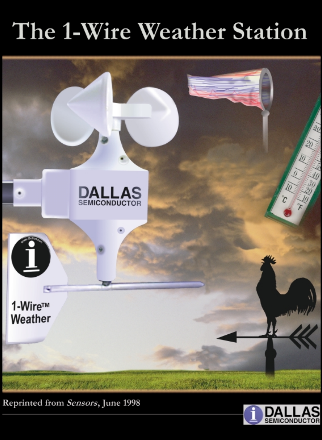# The 1-Wire Weather Station



Reprinted from Sensors, June 1998

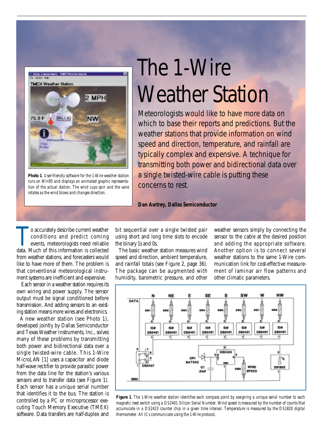

**Photo 1***. User-friendly software for the 1-Wire weather station runs on Win95 and displays an animated graphic representation of the actual station. The wind cups spin and the vane rotates as the wind blows and changes direction.*

# The 1-Wire Weather Station

Meteorologists would like to have more data on which to base their reports and predictions. But the weather stations that provide information on wind speed and direction, temperature, and rainfall are typically complex and expensive. A technique for transmitting both power and bidirectional data over a single twisted-wire cable is putting these concerns to rest.

# **Dan Awtrey, Dallas Semiconductor**

o accurately describe current weather<br>conditions and predict coming<br>events, meteorologists need reliable<br>data Much of this information is collected conditions and predict coming events, meteorologists need reliable data. Much of this information is collected from weather stations, and forecasters would like to have more of them. The problem is that conventional meteorological instrument systems are inefficient and expensive.

Each sensor in a weather station requires its own wiring and power supply. The sensor output must be signal conditioned before transmission. And adding sensors to an existing station means more wires and electronics.

A new weather station (see Photo 1), developed jointly by Dallas Semiconductor and Texas Weather Instruments, Inc., solves many of these problems by transmitting both power and bidirectional data over a single twisted-wire cable. This 1-Wire MicroLAN [1] uses a capacitor and diode half-wave rectifier to provide parasitic power from the data line for the station's various sensors and to transfer data (see Figure 1). Each sensor has a unique serial number that identifies it to the bus. The station is controlled by a PC or microprocessor executing Touch Memory Executive (TMEX) software. Data transfers are half-duplex and

bit sequential over a single twisted pair using short and long time slots to encode the binary 1s and 0s.

The basic weather station measures wind speed and direction, ambient temperature, and rainfall totals (see Figure 2, page 36). The package can be augmented with humidity, barometric pressure, and other

weather sensors simply by connecting the sensor to the cable at the desired position and adding the appropriate software. Another option is to connect several weather stations to the same 1-Wire communication link for cost-effective measurement of laminar air flow patterns and other climatic parameters.



**Figure 1***. The 1-Wire weather station identifies each compass point by assigning a unique serial number to each magnetic reed switch using a DS2401 Silicon Serial Number. Wind speed is measured by the number of counts that accumulate in a DS2423 counter chip in a given time interval. Temperature is measured by the DS1820 digital thermometer. All ICs communicate using the 1-Wire protocol.*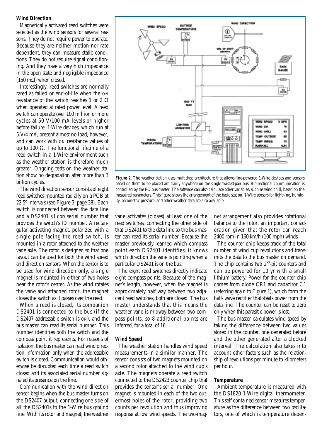# **Wind Direction**

Magnetically activated reed switches were selected as the wind sensors for several reasons. They do not require power to operate. Because they are neither motion nor rate dependent, they can measure static conditions. They do not require signal conditioning. And they have a very high impedance in the open state and negligible impedance (150 mΩ) when closed.

Interestingly, reed switches are normally rated as failed or end-of-life when the ON resistance of the switch reaches 1 or 2  $\Omega$ when operated at rated power level. A reed switch can operate over 100 million or more cycles at 50 V/100 mA levels or higher before failure. 1-Wire devices, which run at 5 V/4 mA, present almost no load, however, and can work with ON resistance values of up to 100  $\Omega$ . The functional lifetime of a reed switch in a 1-Wire environment such as the weather station is therefore much greater. Ongoing tests on the weather station show no degradation after more than 3 billion cycles.

The wind direction sensor consists of eight reed switches mounted radially on a PCB at 22.5º intervals (see Figure 3, page 38). Each switch is connected between the data line and a DS2401 silicon serial number that provides the switch's ID number. A rectangular activating magnet, polarized with a single pole facing the reed switch, is mounted in a rotor attached to the weather vane axle. The rotor is designed so that one layout can be used for both the wind speed and direction sensors. When the sensor is to be used for wind direction only, a single magnet is mounted in either of two holes near the rotor's center. As the wind rotates the vane and attached rotor, the magnet closes the switch as it passes over the reed.

When a reed is closed, its companion DS2401 is connected to the bus (if the DS2407 addressable switch is ON), and the bus master can read its serial number. This number identifies both the switch and the compass point it represents. For reasons of isolation, the bus master can read wind direction information only when the addressable switch is closed. Communication would otherwise be disrupted each time a reed switch closed and its associated serial number signaled its presence on the line.

Communication with the wind direction sensor begins when the bus master turns on the DS2407 output, connecting one side of all the DS2401s to the 1-Wire bus ground line. With its rotor and magnet, the weather



**Figure 2.** The weather station uses multidrop architecture that allows line-powered 1-Wire devices and sensors based on them to be placed arbitrarily anywhere on the single twisted-pair bus. Bidirectional communication is controlled by the PC bus master. The software can also calculate other variables, such as wind chill, based on the measured parameters. This figure shows the arrangement of the basic station. 1-Wire sensors for lightning, humidity, barometric pressure, and other weather data are also available.

vane activates (closes) at least one of the reed switches, connecting the other side of that DS2401 to the data line so the bus master can read its serial number. Because the master previously learned which compass point each DS2401 identifies, it knows which direction the vane is pointing when a particular DS2401 is on the bus.

The eight reed switches directly indicate eight compass points. Because of the magnet's length, however, when the magnet is approximately half way between two adjacent reed switches, both are closed. The bus master understands that this means the weather vane is midway between two compass points, so 8 additional points are inferred, for a total of 16.

#### **Wind Speed**

The weather station handles wind speed measurements in a similar manner. The sensor consists of two magnets mounted on a second rotor attached to the wind cup's axle. The magnets operate a reed switch connected to the DS2423 counter chip that provides the sensor's serial number. One magnet is mounted in each of the two outermost holes of the rotor, providing two counts per revolution and thus improving response at low wind speeds. The two-mag-

net arrangement also provides rotational balance to the rotor, an important consideration given that the rotor can reach 2400 rpm in 160 km/h (100 mph) winds.

The counter chip keeps track of the total number of wind cup revolutions and transmits the data to the bus master on demand. The chip contains two 2<sup>32</sup>-bit counters and can be powered for 10 yr with a small lithium battery. Power for the counter chip comes from diode CR1 and capacitor C1 (referring again to Figure 1), which form the half- wave rectifier that steals power from the data line. The counter can be reset to zero only when this parasitic power is lost.

The bus master calculates wind speed by taking the difference between two values stored in the counter, one generated before and the other generated after a clocked interval. The calculation also takes into account other factors such as the relationship of revolutions per minute to kilometers per hour.

## **Temperature**

Ambient temperature is measured with the DS1820 1-Wire digital thermometer. This self-contained sensor measures temperature as the difference between two oscillators, one of which is temperature depen